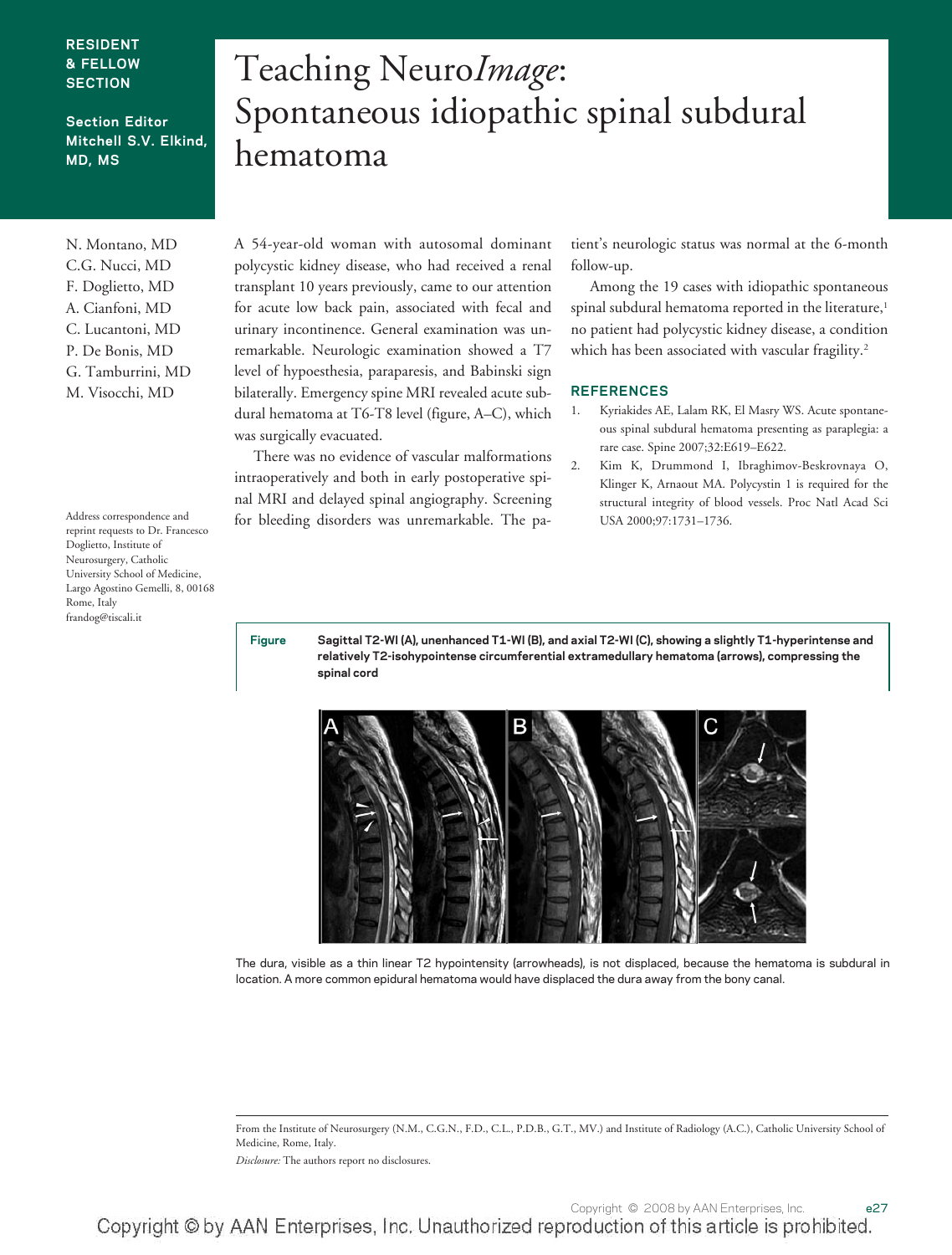#### **RESIDENT & FELLOW SECTION**

#### **Section Editor Mitchell S.V. Elkind, MD, MS**

N. Montano, MD C.G. Nucci, MD F. Doglietto, MD A. Cianfoni, MD C. Lucantoni, MD P. De Bonis, MD G. Tamburrini, MD M. Visocchi, MD

Address correspondence and reprint requests to Dr. Francesco Doglietto, Institute of Neurosurgery, Catholic University School of Medicine, Largo Agostino Gemelli, 8, 00168 Rome, Italy frandog@tiscali.it

# Teaching Neuro*Image*: Spontaneous idiopathic spinal subdural hematoma

A 54-year-old woman with autosomal dominant polycystic kidney disease, who had received a renal transplant 10 years previously, came to our attention for acute low back pain, associated with fecal and urinary incontinence. General examination was unremarkable. Neurologic examination showed a T7 level of hypoesthesia, paraparesis, and Babinski sign bilaterally. Emergency spine MRI revealed acute subdural hematoma at T6-T8 level (figure, A–C), which was surgically evacuated.

There was no evidence of vascular malformations intraoperatively and both in early postoperative spinal MRI and delayed spinal angiography. Screening for bleeding disorders was unremarkable. The patient's neurologic status was normal at the 6-month follow-up.

Among the 19 cases with idiopathic spontaneous spinal subdural hematoma reported in the literature,<sup>1</sup> no patient had polycystic kidney disease, a condition which has been associated with vascular fragility.<sup>2</sup>

#### **REFERENCES**

- 1. Kyriakides AE, Lalam RK, El Masry WS. Acute spontaneous spinal subdural hematoma presenting as paraplegia: a rare case. Spine 2007;32:E619–E622.
- 2. Kim K, Drummond I, Ibraghimov-Beskrovnaya O, Klinger K, Arnaout MA. Polycystin 1 is required for the structural integrity of blood vessels. Proc Natl Acad Sci USA 2000;97:1731–1736.

**Figure Sagittal T2-WI (A), unenhanced T1-WI (B), and axial T2-WI (C), showing a slightly T1-hyperintense and relatively T2-isohypointense circumferential extramedullary hematoma (arrows), compressing the spinal cord**



The dura, visible as a thin linear T2 hypointensity (arrowheads), is not displaced, because the hematoma is subdural in location. A more common epidural hematoma would have displaced the dura away from the bony canal.

From the Institute of Neurosurgery (N.M., C.G.N., F.D., C.L., P.D.B., G.T., MV.) and Institute of Radiology (A.C.), Catholic University School of Medicine, Rome, Italy.

*Disclosure:* The authors report no disclosures.